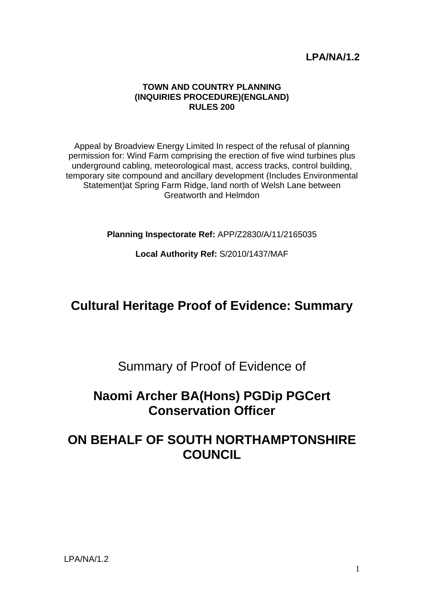## **LPA/NA/1.2**

#### **TOWN AND COUNTRY PLANNING (INQUIRIES PROCEDURE)(ENGLAND) RULES 200**

Appeal by Broadview Energy Limited In respect of the refusal of planning permission for: Wind Farm comprising the erection of five wind turbines plus underground cabling, meteorological mast, access tracks, control building, temporary site compound and ancillary development (Includes Environmental Statement)at Spring Farm Ridge, land north of Welsh Lane between Greatworth and Helmdon

**Planning Inspectorate Ref:** APP/Z2830/A/11/2165035

**Local Authority Ref:** S/2010/1437/MAF

# **Cultural Heritage Proof of Evidence: Summary**

Summary of Proof of Evidence of

# **Naomi Archer BA(Hons) PGDip PGCert Conservation Officer**

# **ON BEHALF OF SOUTH NORTHAMPTONSHIRE COUNCIL**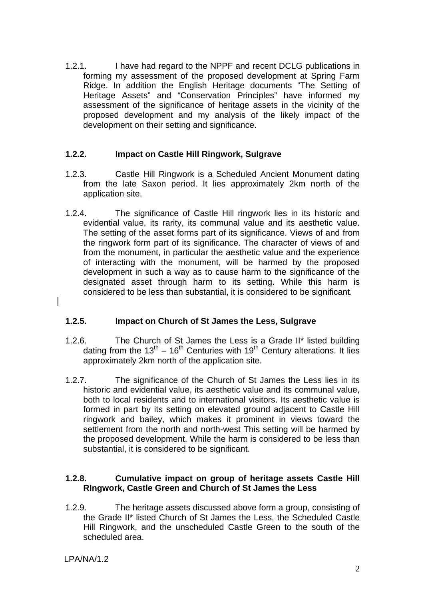1.2.1. I have had regard to the NPPF and recent DCLG publications in forming my assessment of the proposed development at Spring Farm Ridge. In addition the English Heritage documents "The Setting of Heritage Assets" and "Conservation Principles" have informed my assessment of the significance of heritage assets in the vicinity of the proposed development and my analysis of the likely impact of the development on their setting and significance.

#### **1.2.2. Impact on Castle Hill Ringwork, Sulgrave**

- 1.2.3. Castle Hill Ringwork is a Scheduled Ancient Monument dating from the late Saxon period. It lies approximately 2km north of the application site.
- 1.2.4. The significance of Castle Hill ringwork lies in its historic and evidential value, its rarity, its communal value and its aesthetic value. The setting of the asset forms part of its significance. Views of and from the ringwork form part of its significance. The character of views of and from the monument, in particular the aesthetic value and the experience of interacting with the monument, will be harmed by the proposed development in such a way as to cause harm to the significance of the designated asset through harm to its setting. While this harm is considered to be less than substantial, it is considered to be significant.

### **1.2.5. Impact on Church of St James the Less, Sulgrave**

- 1.2.6. The Church of St James the Less is a Grade II\* listed building dating from the  $13^{th}$  – 16<sup>th</sup> Centuries with 19<sup>th</sup> Century alterations. It lies approximately 2km north of the application site.
- 1.2.7. The significance of the Church of St James the Less lies in its historic and evidential value, its aesthetic value and its communal value, both to local residents and to international visitors. Its aesthetic value is formed in part by its setting on elevated ground adjacent to Castle Hill ringwork and bailey, which makes it prominent in views toward the settlement from the north and north-west This setting will be harmed by the proposed development. While the harm is considered to be less than substantial, it is considered to be significant.

#### **1.2.8. Cumulative impact on group of heritage assets Castle Hill RIngwork, Castle Green and Church of St James the Less**

1.2.9. The heritage assets discussed above form a group, consisting of the Grade II\* listed Church of St James the Less, the Scheduled Castle Hill Ringwork, and the unscheduled Castle Green to the south of the scheduled area.

LPA/NA/1.2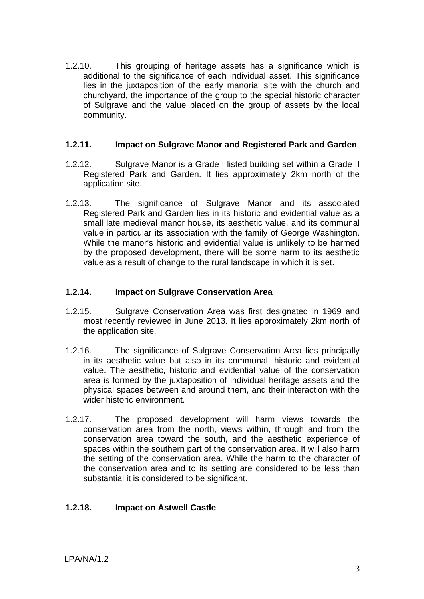1.2.10. This grouping of heritage assets has a significance which is additional to the significance of each individual asset. This significance lies in the juxtaposition of the early manorial site with the church and churchyard, the importance of the group to the special historic character of Sulgrave and the value placed on the group of assets by the local community.

#### **1.2.11. Impact on Sulgrave Manor and Registered Park and Garden**

- 1.2.12. Sulgrave Manor is a Grade I listed building set within a Grade II Registered Park and Garden. It lies approximately 2km north of the application site.
- 1.2.13. The significance of Sulgrave Manor and its associated Registered Park and Garden lies in its historic and evidential value as a small late medieval manor house, its aesthetic value, and its communal value in particular its association with the family of George Washington. While the manor's historic and evidential value is unlikely to be harmed by the proposed development, there will be some harm to its aesthetic value as a result of change to the rural landscape in which it is set.

#### **1.2.14. Impact on Sulgrave Conservation Area**

- 1.2.15. Sulgrave Conservation Area was first designated in 1969 and most recently reviewed in June 2013. It lies approximately 2km north of the application site.
- 1.2.16. The significance of Sulgrave Conservation Area lies principally in its aesthetic value but also in its communal, historic and evidential value. The aesthetic, historic and evidential value of the conservation area is formed by the juxtaposition of individual heritage assets and the physical spaces between and around them, and their interaction with the wider historic environment.
- 1.2.17. The proposed development will harm views towards the conservation area from the north, views within, through and from the conservation area toward the south, and the aesthetic experience of spaces within the southern part of the conservation area. It will also harm the setting of the conservation area. While the harm to the character of the conservation area and to its setting are considered to be less than substantial it is considered to be significant.

### **1.2.18. Impact on Astwell Castle**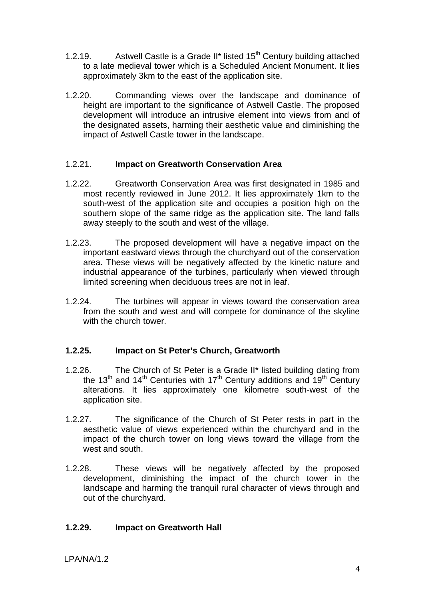- 1.2.19. Astwell Castle is a Grade II\* listed  $15<sup>th</sup>$  Century building attached to a late medieval tower which is a Scheduled Ancient Monument. It lies approximately 3km to the east of the application site.
- 1.2.20. Commanding views over the landscape and dominance of height are important to the significance of Astwell Castle. The proposed development will introduce an intrusive element into views from and of the designated assets, harming their aesthetic value and diminishing the impact of Astwell Castle tower in the landscape.

#### 1.2.21. **Impact on Greatworth Conservation Area**

- 1.2.22. Greatworth Conservation Area was first designated in 1985 and most recently reviewed in June 2012. It lies approximately 1km to the south-west of the application site and occupies a position high on the southern slope of the same ridge as the application site. The land falls away steeply to the south and west of the village.
- 1.2.23. The proposed development will have a negative impact on the important eastward views through the churchyard out of the conservation area. These views will be negatively affected by the kinetic nature and industrial appearance of the turbines, particularly when viewed through limited screening when deciduous trees are not in leaf.
- 1.2.24. The turbines will appear in views toward the conservation area from the south and west and will compete for dominance of the skyline with the church tower.

### **1.2.25. Impact on St Peter's Church, Greatworth**

- 1.2.26. The Church of St Peter is a Grade II\* listed building dating from the  $13<sup>th</sup>$  and  $14<sup>th</sup>$  Centuries with  $17<sup>th</sup>$  Century additions and  $19<sup>th</sup>$  Century alterations. It lies approximately one kilometre south-west of the application site.
- 1.2.27. The significance of the Church of St Peter rests in part in the aesthetic value of views experienced within the churchyard and in the impact of the church tower on long views toward the village from the west and south.
- 1.2.28. These views will be negatively affected by the proposed development, diminishing the impact of the church tower in the landscape and harming the tranquil rural character of views through and out of the churchyard.

#### **1.2.29. Impact on Greatworth Hall**

LPA/NA/1.2